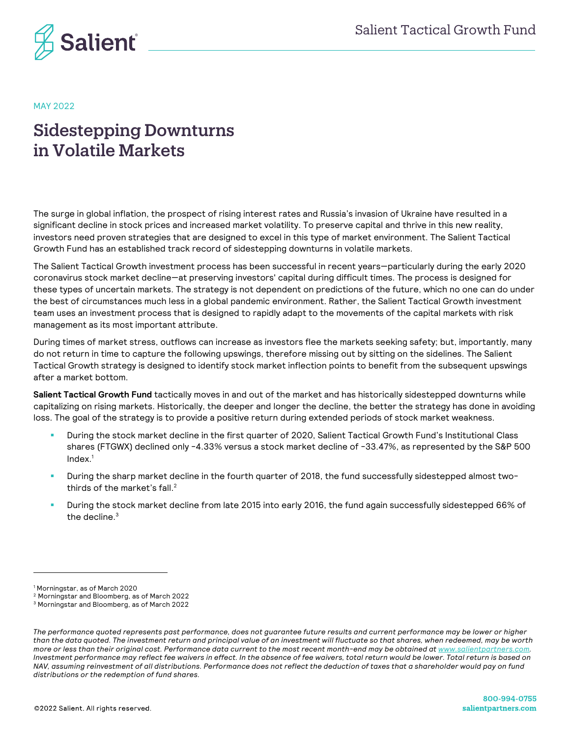

#### MAY 2022

# Sidestepping Downturns in Volatile Markets

The surge in global inflation, the prospect of rising interest rates and Russia's invasion of Ukraine have resulted in a significant decline in stock prices and increased market volatility. To preserve capital and thrive in this new reality, investors need proven strategies that are designed to excel in this type of market environment. The Salient Tactical Growth Fund has an established track record of sidestepping downturns in volatile markets.

The Salient Tactical Growth investment process has been successful in recent years—particularly during the early 2020 coronavirus stock market decline—at preserving investors' capital during difficult times. The process is designed for these types of uncertain markets. The strategy is not dependent on predictions of the future, which no one can do under the best of circumstances much less in a global pandemic environment. Rather, the Salient Tactical Growth investment team uses an investment process that is designed to rapidly adapt to the movements of the capital markets with risk management as its most important attribute.

During times of market stress, outflows can increase as investors flee the markets seeking safety; but, importantly, many do not return in time to capture the following upswings, therefore missing out by sitting on the sidelines. The Salient Tactical Growth strategy is designed to identify stock market inflection points to benefit from the subsequent upswings after a market bottom.

**Salient Tactical Growth Fund** tactically moves in and out of the market and has historically sidestepped downturns while capitalizing on rising markets. Historically, the deeper and longer the decline, the better the strategy has done in avoiding loss. The goal of the strategy is to provide a positive return during extended periods of stock market weakness.

- ! During the stock market decline in the first quarter of 2020, Salient Tactical Growth Fund's Institutional Class shares (FTGWX) declined only -4.33% versus a stock market decline of -33.47%, as represented by the S&P 500 Index. 1
- ! During the sharp market decline in the fourth quarter of 2018, the fund successfully sidestepped almost twothirds of the market's fall. $^2$
- During the stock market decline from late 2015 into early 2016, the fund again successfully sidestepped 66% of the decline.<sup>3</sup>

<sup>1</sup> Morningstar, as of March 2020

<sup>2</sup> Morningstar and Bloomberg, as of March 2022

<sup>3</sup> Morningstar and Bloomberg, as of March 2022

*The performance quoted represents past performance, does not guarantee future results and current performance may be lower or higher than the data quoted. The investment return and principal value of an investment will fluctuate so that shares, when redeemed, may be worth more or less than their original cost. Performance data current to the most recent month-end may be obtained at www.salientpartners.com. Investment performance may reflect fee waivers in effect. In the absence of fee waivers, total return would be lower. Total return is based on NAV, assuming reinvestment of all distributions. Performance does not reflect the deduction of taxes that a shareholder would pay on fund distributions or the redemption of fund shares.*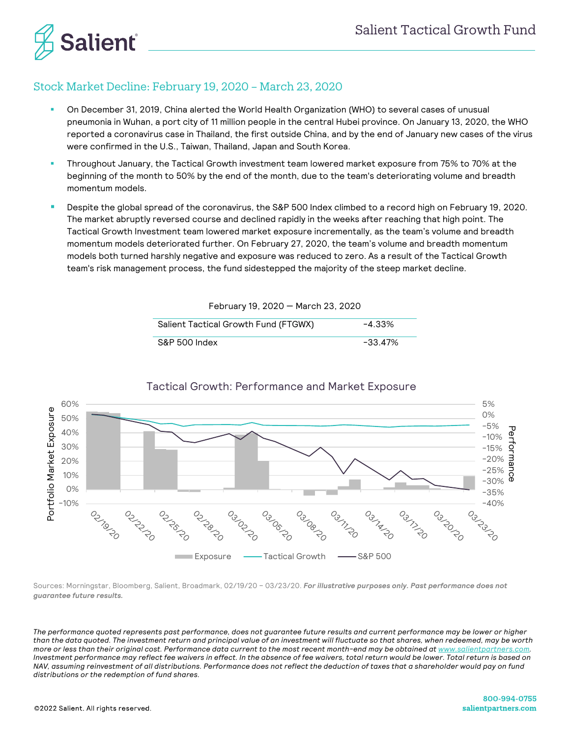

### Stock Market Decline: February 19, 2020 – March 23, 2020

- ! On December 31, 2019, China alerted the World Health Organization (WHO) to several cases of unusual pneumonia in Wuhan, a port city of 11 million people in the central Hubei province. On January 13, 2020, the WHO reported a coronavirus case in Thailand, the first outside China, and by the end of January new cases of the virus were confirmed in the U.S., Taiwan, Thailand, Japan and South Korea.
- ! Throughout January, the Tactical Growth investment team lowered market exposure from 75% to 70% at the beginning of the month to 50% by the end of the month, due to the team's deteriorating volume and breadth momentum models.
- ! Despite the global spread of the coronavirus, the S&P 500 Index climbed to a record high on February 19, 2020. The market abruptly reversed course and declined rapidly in the weeks after reaching that high point. The Tactical Growth Investment team lowered market exposure incrementally, as the team's volume and breadth momentum models deteriorated further. On February 27, 2020, the team's volume and breadth momentum models both turned harshly negative and exposure was reduced to zero. As a result of the Tactical Growth team's risk management process, the fund sidestepped the majority of the steep market decline.

| February 19, 2020 - March 23, 2020   |         |  |  |  |  |
|--------------------------------------|---------|--|--|--|--|
| Salient Tactical Growth Fund (FTGWX) | -4.33%  |  |  |  |  |
| S&P 500 Index                        | -33.47% |  |  |  |  |



#### Tactical Growth: Performance and Market Exposure

Sources: Morningstar, Bloomberg, Salient, Broadmark, 02/19/20 – 03/23/20. *For illustrative purposes only. Past performance does not guarantee future results.*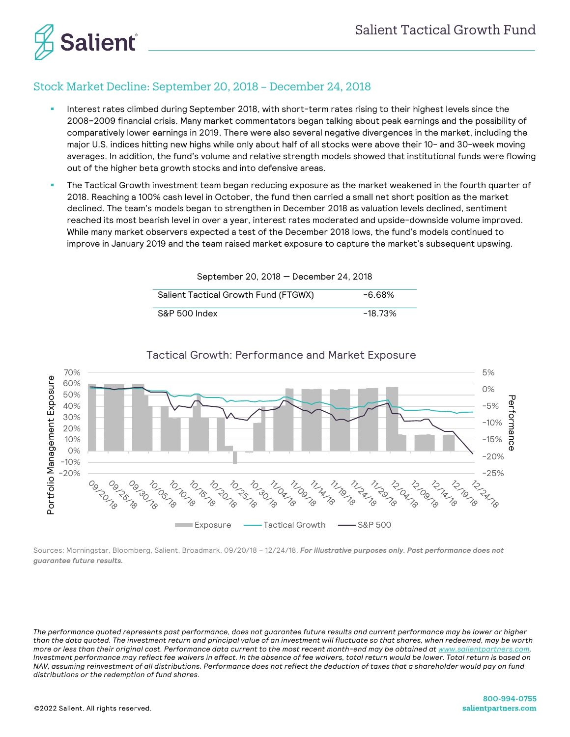

# Stock Market Decline: September 20, 2018 – December 24, 2018

- Interest rates climbed during September 2018, with short-term rates rising to their highest levels since the 2008–2009 financial crisis. Many market commentators began talking about peak earnings and the possibility of comparatively lower earnings in 2019. There were also several negative divergences in the market, including the major U.S. indices hitting new highs while only about half of all stocks were above their 10- and 30-week moving averages. In addition, the fund's volume and relative strength models showed that institutional funds were flowing out of the higher beta growth stocks and into defensive areas.
- ! The Tactical Growth investment team began reducing exposure as the market weakened in the fourth quarter of 2018. Reaching a 100% cash level in October, the fund then carried a small net short position as the market declined. The team's models began to strengthen in December 2018 as valuation levels declined, sentiment reached its most bearish level in over a year, interest rates moderated and upside-downside volume improved. While many market observers expected a test of the December 2018 lows, the fund's models continued to improve in January 2019 and the team raised market exposure to capture the market's subsequent upswing.

September 20, 2018 — December 24, 2018

Salient Tactical Growth Fund (FTGWX) -6.68% S&P 500 Index -18.73%



Sources: Morningstar, Bloomberg, Salient, Broadmark, 09/20/18 – 12/24/18. *For illustrative purposes only. Past performance does not guarantee future results.*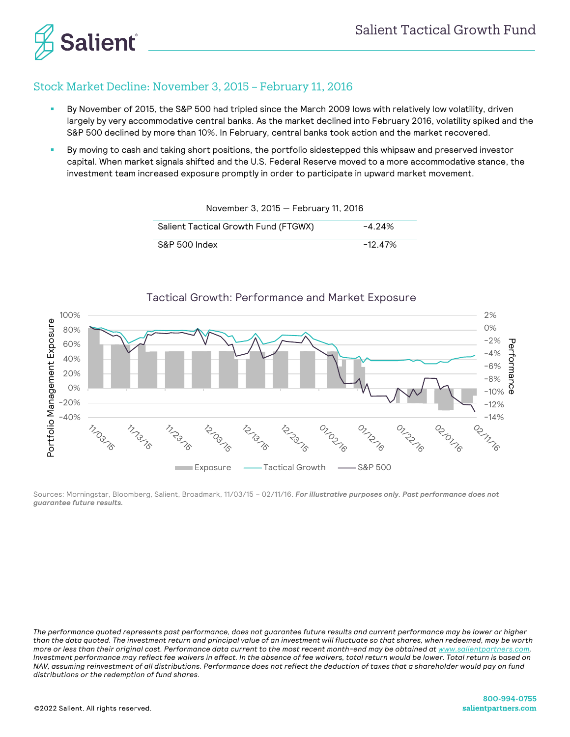

### Stock Market Decline: November 3, 2015 – February 11, 2016

- By November of 2015, the S&P 500 had tripled since the March 2009 lows with relatively low volatility, driven largely by very accommodative central banks. As the market declined into February 2016, volatility spiked and the S&P 500 declined by more than 10%. In February, central banks took action and the market recovered.
- ! By moving to cash and taking short positions, the portfolio sidestepped this whipsaw and preserved investor capital. When market signals shifted and the U.S. Federal Reserve moved to a more accommodative stance, the investment team increased exposure promptly in order to participate in upward market movement.

| Salient Tactical Growth Fund (FTGWX) | $-4.24\%$  |
|--------------------------------------|------------|
| S&P 500 Index                        | $-12.47\%$ |

November 3, 2015 — February 11, 2016



Sources: Morningstar, Bloomberg, Salient, Broadmark, 11/03/15 – 02/11/16. *For illustrative purposes only. Past performance does not guarantee future results.*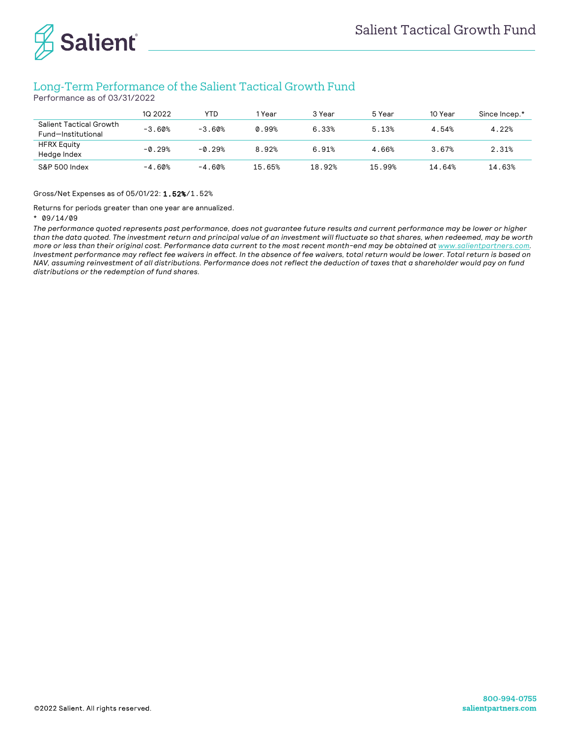

## Long-Term Performance of the Salient Tactical Growth Fund

Performance as of 03/31/2022

|                                               | 1Q 2022  | YTD      | l Year | 3 Year | 5 Year | 10 Year | Since Incep.* |
|-----------------------------------------------|----------|----------|--------|--------|--------|---------|---------------|
| Salient Tactical Growth<br>Fund-Institutional | $-3.60%$ | $-3.60%$ | 0.99%  | 6.33%  | 5.13%  | 4.54%   | 4.22%         |
| <b>HFRX Equity</b><br>Hedge Index             | $-0.29%$ | $-0.29%$ | 8.92%  | 6.91%  | 4.66%  | 3.67%   | 2.31%         |
| S&P 500 Index                                 | $-4.60%$ | $-4.60%$ | 15.65% | 18.92% | 15.99% | 14.64%  | 14.63%        |

Gross/Net Expenses as of 05/01/22: 1.52%/1.52%

Returns for periods greater than one year are annualized.

#### \* 09/14/09